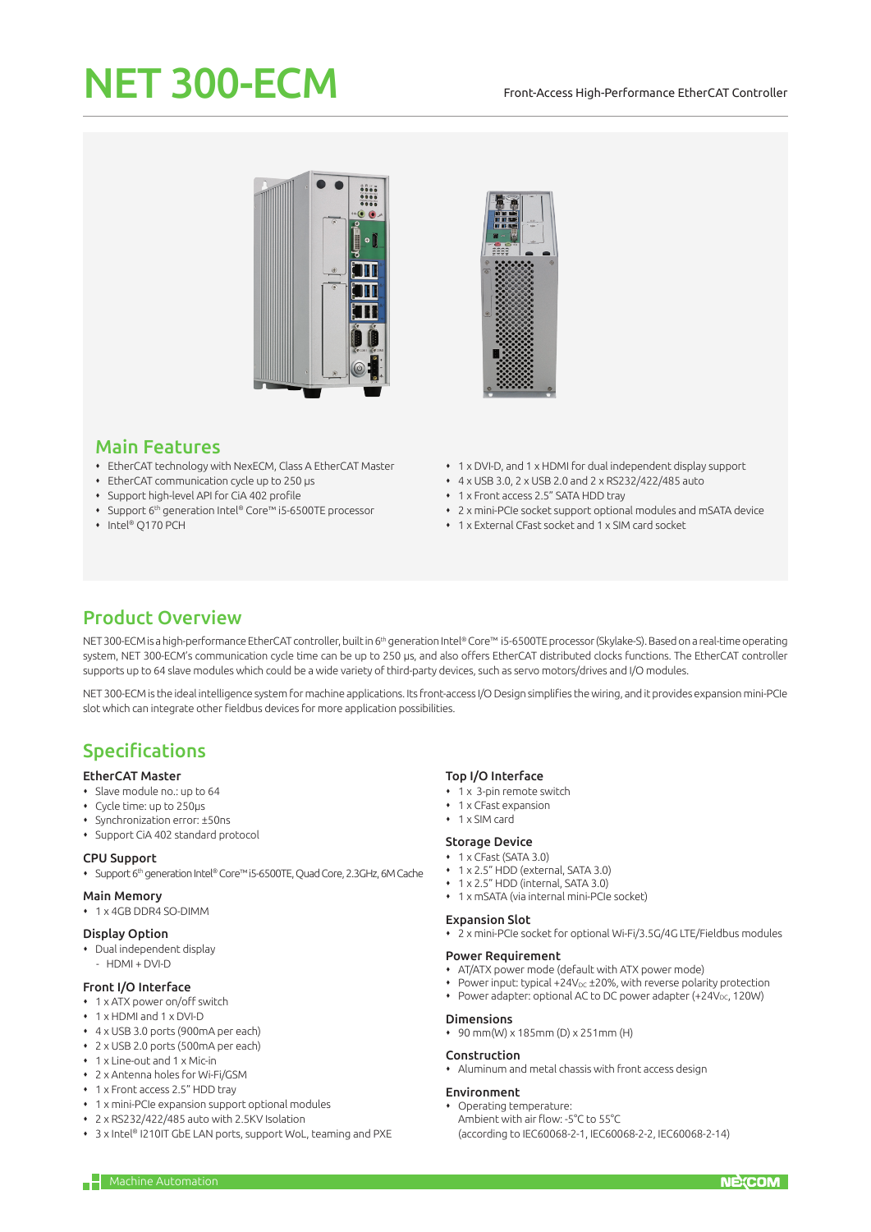# NET 300-ECM

#### Front-Access High-Performance EtherCAT Controller





# Main Features

- EtherCAT technology with NexECM, Class A EtherCAT Master
- EtherCAT communication cycle up to 250 μs
- Support high-level API for CiA 402 profile
- Support 6th generation Intel® Core™ i5-6500TE processor
- ◆ Intel® O170 PCH
- 1 x DVI-D, and 1 x HDMI for dual independent display support
- 4 x USB 3.0, 2 x USB 2.0 and 2 x RS232/422/485 auto
- 1 x Front access 2.5" SATA HDD tray
- 2 x mini-PCIe socket support optional modules and mSATA device
- 1 x External CFast socket and 1 x SIM card socket

# Product Overview

NET 300-ECM is a high-performance EtherCAT controller, built in 6<sup>th</sup> generation Intel® Core™ i5-6500TE processor (Skylake-S). Based on a real-time operating system, NET 300-ECM's communication cycle time can be up to 250 μs, and also offers EtherCAT distributed clocks functions. The EtherCAT controller supports up to 64 slave modules which could be a wide variety of third-party devices, such as servo motors/drives and I/O modules.

NET 300-ECM is the ideal intelligence system for machine applications. Its front-access I/O Design simplifies the wiring, and it provides expansion mini-PCIe slot which can integrate other fieldbus devices for more application possibilities.

# Specifications

#### EtherCAT Master

- Slave module no.: up to 64
- Cycle time: up to 250μs
- Synchronization error: ±50ns
- Support CiA 402 standard protocol

#### CPU Support

Support 6th generation Intel® Core™ i5-6500TE, Quad Core, 2.3GHz, 6M Cache

#### Main Memory

1 x 4GB DDR4 SO-DIMM

#### Display Option

- Dual independent display
- HDMI + DVI-D

#### Front I/O Interface

- 1 x ATX power on/off switch
- 1 x HDMI and 1 x DVI-D
- 4 x USB 3.0 ports (900mA per each)
- 2 x USB 2.0 ports (500mA per each)
- 1 x Line-out and 1 x Mic-in
- 2 x Antenna holes for Wi-Fi/GSM
- 1 x Front access 2.5" HDD tray
- 1 x mini-PCIe expansion support optional modules
- 2 x RS232/422/485 auto with 2.5KV Isolation
- 3 x Intel® I210IT GbE LAN ports, support WoL, teaming and PXE

#### Top I/O Interface

- 1 x 3-pin remote switch
- 1 x CFast expansion
- $\cdot$  1 x SIM card

#### Storage Device

- 1 x CFast (SATA 3.0)
- 1 x 2.5" HDD (external, SATA 3.0)
- 1 x 2.5" HDD (internal, SATA 3.0)
- 1 x mSATA (via internal mini-PCIe socket)

#### Expansion Slot

2 x mini-PCIe socket for optional Wi-Fi/3.5G/4G LTE/Fieldbus modules

#### Power Requirement

- AT/ATX power mode (default with ATX power mode)
- $\bullet$  Power input: typical +24V<sub>DC</sub> ±20%, with reverse polarity protection
- Power adapter: optional AC to DC power adapter (+24V<sub>DC</sub>, 120W)

### Dimensions

90 mm(W) x 185mm (D) x 251mm (H)

#### Construction

Aluminum and metal chassis with front access design

#### Environment

- Operating temperature: Ambient with air flow: -5°C to 55°C
- (according to IEC60068-2-1, IEC60068-2-2, IEC60068-2-14)